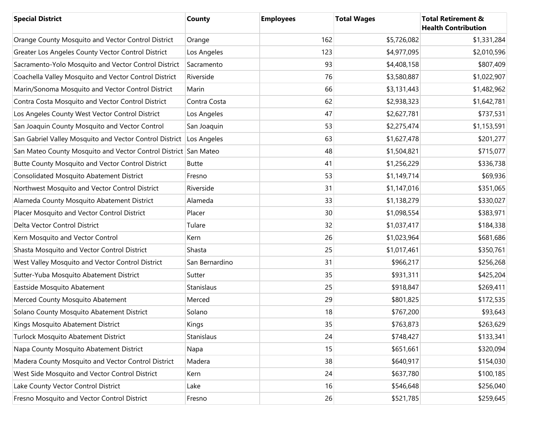| <b>Special District</b>                                             | County         | <b>Employees</b> | <b>Total Wages</b> | <b>Total Retirement &amp;</b><br><b>Health Contribution</b> |
|---------------------------------------------------------------------|----------------|------------------|--------------------|-------------------------------------------------------------|
| Orange County Mosquito and Vector Control District                  | Orange         | 162              | \$5,726,082        | \$1,331,284                                                 |
| Greater Los Angeles County Vector Control District                  | Los Angeles    | 123              | \$4,977,095        | \$2,010,596                                                 |
| Sacramento-Yolo Mosquito and Vector Control District                | Sacramento     | 93               | \$4,408,158        | \$807,409                                                   |
| Coachella Valley Mosquito and Vector Control District               | Riverside      | 76               | \$3,580,887        | \$1,022,907                                                 |
| Marin/Sonoma Mosquito and Vector Control District                   | Marin          | 66               | \$3,131,443        | \$1,482,962                                                 |
| Contra Costa Mosquito and Vector Control District                   | Contra Costa   | 62               | \$2,938,323        | \$1,642,781                                                 |
| Los Angeles County West Vector Control District                     | Los Angeles    | 47               | \$2,627,781        | \$737,531                                                   |
| San Joaquin County Mosquito and Vector Control                      | San Joaquin    | 53               | \$2,275,474        | \$1,153,591                                                 |
| San Gabriel Valley Mosquito and Vector Control District Los Angeles |                | 63               | \$1,627,478        | \$201,277                                                   |
| San Mateo County Mosquito and Vector Control District San Mateo     |                | 48               | \$1,504,821        | \$715,077                                                   |
| Butte County Mosquito and Vector Control District                   | <b>Butte</b>   | 41               | \$1,256,229        | \$336,738                                                   |
| Consolidated Mosquito Abatement District                            | Fresno         | 53               | \$1,149,714        | \$69,936                                                    |
| Northwest Mosquito and Vector Control District                      | Riverside      | 31               | \$1,147,016        | \$351,065                                                   |
| Alameda County Mosquito Abatement District                          | Alameda        | 33               | \$1,138,279        | \$330,027                                                   |
| Placer Mosquito and Vector Control District                         | Placer         | 30               | \$1,098,554        | \$383,971                                                   |
| Delta Vector Control District                                       | Tulare         | 32               | \$1,037,417        | \$184,338                                                   |
| Kern Mosquito and Vector Control                                    | Kern           | 26               | \$1,023,964        | \$681,686                                                   |
| Shasta Mosquito and Vector Control District                         | Shasta         | 25               | \$1,017,461        | \$350,761                                                   |
| West Valley Mosquito and Vector Control District                    | San Bernardino | 31               | \$966,217          | \$256,268                                                   |
| Sutter-Yuba Mosquito Abatement District                             | Sutter         | 35               | \$931,311          | \$425,204                                                   |
| Eastside Mosquito Abatement                                         | Stanislaus     | 25               | \$918,847          | \$269,411                                                   |
| Merced County Mosquito Abatement                                    | Merced         | 29               | \$801,825          | \$172,535                                                   |
| Solano County Mosquito Abatement District                           | Solano         | 18               | \$767,200          | \$93,643                                                    |
| Kings Mosquito Abatement District                                   | Kings          | 35               | \$763,873          | \$263,629                                                   |
| Turlock Mosquito Abatement District                                 | Stanislaus     | 24               | \$748,427          | \$133,341                                                   |
| Napa County Mosquito Abatement District                             | Napa           | 15               | \$651,661          | \$320,094                                                   |
| Madera County Mosquito and Vector Control District                  | Madera         | 38               | \$640,917          | \$154,030                                                   |
| West Side Mosquito and Vector Control District                      | Kern           | 24               | \$637,780          | \$100,185                                                   |
| Lake County Vector Control District                                 | Lake           | 16               | \$546,648          | \$256,040                                                   |
| Fresno Mosquito and Vector Control District                         | Fresno         | 26               | \$521,785          | \$259,645                                                   |